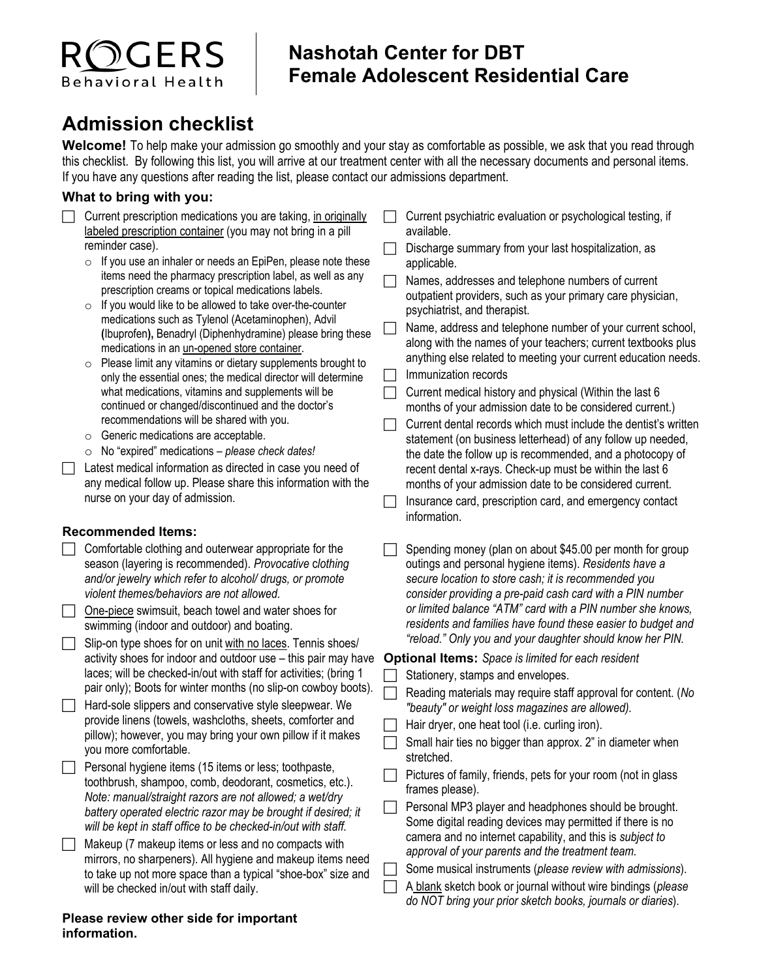# つCERS **Behavioral Health**

## **Nashotah Center for DBT Female Adolescent Residential Care**

# **Admission checklist**

**Welcome!** To help make your admission go smoothly and your stay as comfortable as possible, we ask that you read through this checklist. By following this list, you will arrive at our treatment center with all the necessary documents and personal items. If you have any questions after reading the list, please contact our admissions department.

### **What to bring with you:**

- $\Box$  Current prescription medications you are taking, in originally labeled prescription container (you may not bring in a pill reminder case).
	- $\circ$  If you use an inhaler or needs an EpiPen, please note these items need the pharmacy prescription label, as well as any prescription creams or topical medications labels.
	- $\circ$  If you would like to be allowed to take over-the-counter medications such as Tylenol [\(Acetaminophen\)](https://www.drugs.com/pro/acetaminophen-tablet.html), Advil **(**Ibuprofen**),** Benadryl (Diphenhydramine) please bring these medications in an un-opened store container.
	- $\circ$  Please limit any vitamins or dietary supplements brought to only the essential ones; the medical director will determine what medications, vitamins and supplements will be continued or changed/discontinued and the doctor's recommendations will be shared with you.
	- o Generic medications are acceptable.
	- o No "expired" medications *please check dates!*
- Latest medical information as directed in case you need of any medical follow up. Please share this information with the nurse on your day of admission.

### **Recommended Items:**

- $\Box$  Comfortable clothing and outerwear appropriate for the season (layering is recommended). *Provocative* c*lothing and/or jewelry which refer to alcohol/ drugs, or promote violent themes/behaviors are not allowed.*
- □ One-piece swimsuit, beach towel and water shoes for swimming (indoor and outdoor) and boating.
- $\Box$  Slip-on type shoes for on unit with no laces. Tennis shoes/ activity shoes for indoor and outdoor use – this pair may have laces; will be checked-in/out with staff for activities; (bring 1 pair only); Boots for winter months (no slip-on cowboy boots).
- $\Box$  Hard-sole slippers and conservative style sleepwear. We provide linens (towels, washcloths, sheets, comforter and pillow); however, you may bring your own pillow if it makes you more comfortable.
- $\Box$  Personal hygiene items (15 items or less; toothpaste, toothbrush, shampoo, comb, deodorant, cosmetics, etc.). *Note: manual/straight razors are not allowed; a wet/dry battery operated electric razor may be brought if desired; it will be kept in staff office to be checked-in/out with staff.*
- $\Box$  Makeup (7 makeup items or less and no compacts with mirrors, no sharpeners). All hygiene and makeup items need to take up not more space than a typical "shoe-box" size and will be checked in/out with staff daily.

#### **Please review other side for important information.**

- $\Box$  Current psychiatric evaluation or psychological testing, if available.
- Discharge summary from your last hospitalization, as applicable.
- $\Box$  Names, addresses and telephone numbers of current outpatient providers, such as your primary care physician, psychiatrist, and therapist.
- Name, address and telephone number of your current school, along with the names of your teachers; current textbooks plus anything else related to meeting your current education needs.
- Immunization records
- Current medical history and physical (Within the last 6 months of your admission date to be considered current.)
- $\Box$  Current dental records which must include the dentist's written statement (on business letterhead) of any follow up needed, the date the follow up is recommended, and a photocopy of recent dental x-rays. Check-up must be within the last 6 months of your admission date to be considered current.
- $\Box$  Insurance card, prescription card, and emergency contact information.
- Spending money (plan on about \$45.00 per month for group outings and personal hygiene items). *Residents have a secure location to store cash; it is recommended you consider providing a pre-paid cash card with a PIN number or limited balance "ATM" card with a PIN number she knows, residents and families have found these easier to budget and "reload." Only you and your daughter should know her PIN.*

### **Optional Items:** *Space is limited for each resident*

- Stationery, stamps and envelopes.
- Reading materials may require staff approval for content. (*No "beauty" or weight loss magazines are allowed).*
- Hair dryer, one heat tool (i.e. curling iron).
- Small hair ties no bigger than approx. 2" in diameter when stretched.
- $\Box$  Pictures of family, friends, pets for your room (not in glass frames please).
- **Personal MP3 player and headphones should be brought.** Some digital reading devices may permitted if there is no camera and no internet capability, and this is *subject to approval of your parents and the treatment team.*
- Some musical instruments (*please review with admissions*).
- A blank sketch book or journal without wire bindings (*please do NOT bring your prior sketch books, journals or diaries*).